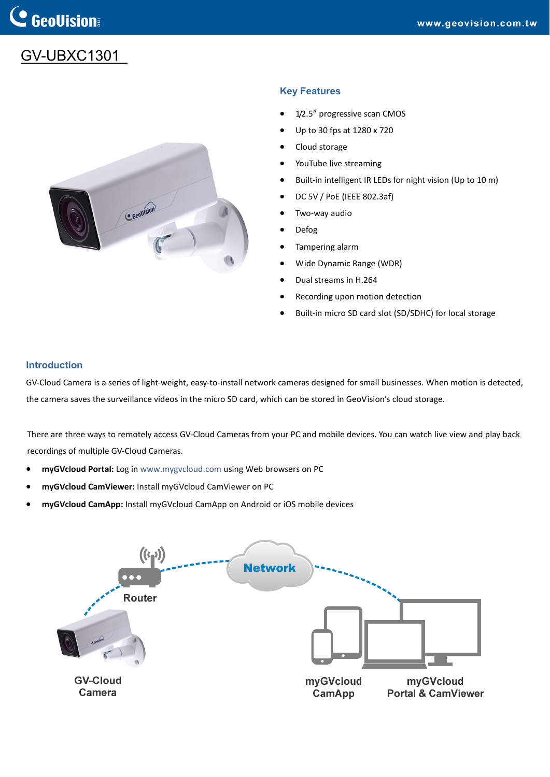# GV-UBXC1301



## **Key Features**

- 1/2.5" progressive scan CMOS
- Up to 30 fps at 1280 x 720
- Cloud storage
- YouTube live streaming
- Built-in intelligent IR LEDs for night vision (Up to 10 m)
- DC 5V / PoE (IEEE 802.3af)
- Two‐way audio
- Defog
- Tampering alarm
- Wide Dynamic Range (WDR)
- Dual streams in H.264
- Recording upon motion detection
- Built-in micro SD card slot (SD/SDHC) for local storage

### **Introduction**

GV-Cloud Camera is a series of light-weight, easy-to-install network cameras designed for small businesses. When motion is detected, the camera saves the surveillance videos in the micro SD card, which can be stored in GeoVision's cloud storage.

There are three ways to remotely access GV‐Cloud Cameras from your PC and mobile devices. You can watch live view and play back recordings of multiple GV‐Cloud Cameras.

- **myGVcloud Portal:** Log in [www.mygvcloud.com](http://www.mygvcloud.com/) using Web browsers on PC
- **myGVcloud CamViewer:** Install myGVcloud CamViewer on PC
- **myGVcloud CamApp:** Install myGVcloud CamApp on Android or iOS mobile devices

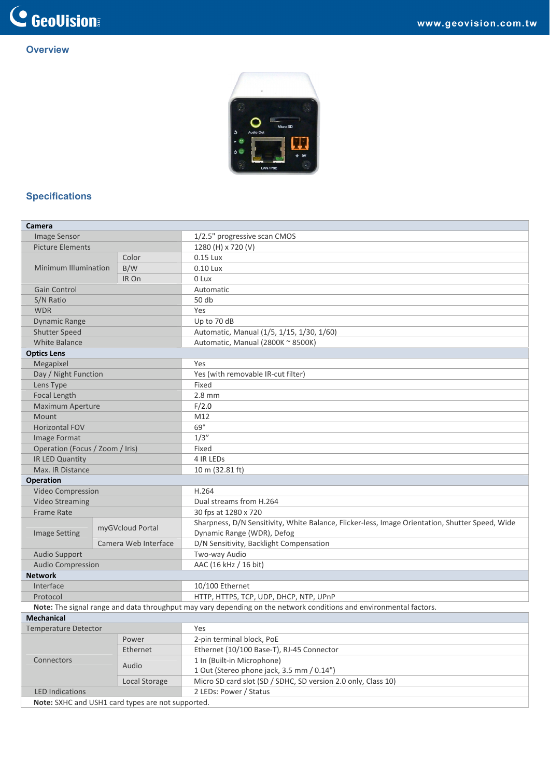## **Overview**



## **Specifications**

| Camera                          |                      |                                                   |                                                                                                                    |
|---------------------------------|----------------------|---------------------------------------------------|--------------------------------------------------------------------------------------------------------------------|
| <b>Image Sensor</b>             |                      |                                                   | 1/2.5" progressive scan CMOS                                                                                       |
| <b>Picture Elements</b>         |                      |                                                   | 1280 (H) x 720 (V)                                                                                                 |
|                                 |                      | Color                                             | 0.15 Lux                                                                                                           |
| <b>Minimum Illumination</b>     |                      | B/W                                               | 0.10 Lux                                                                                                           |
|                                 |                      | IR On                                             | 0 Lux                                                                                                              |
| Gain Control                    |                      |                                                   | Automatic                                                                                                          |
| S/N Ratio                       |                      |                                                   | 50 db                                                                                                              |
| <b>WDR</b>                      |                      |                                                   | Yes                                                                                                                |
| <b>Dynamic Range</b>            |                      |                                                   | Up to 70 dB                                                                                                        |
| Shutter Speed                   |                      |                                                   | Automatic, Manual (1/5, 1/15, 1/30, 1/60)                                                                          |
| <b>White Balance</b>            |                      |                                                   | Automatic, Manual (2800K ~ 8500K)                                                                                  |
| <b>Optics Lens</b>              |                      |                                                   |                                                                                                                    |
| Megapixel                       |                      |                                                   | Yes                                                                                                                |
| Day / Night Function            |                      |                                                   | Yes (with removable IR-cut filter)                                                                                 |
| Lens Type                       |                      |                                                   | Fixed                                                                                                              |
| Focal Length                    |                      |                                                   | $2.8$ mm                                                                                                           |
| Maximum Aperture                |                      |                                                   | F/2.0                                                                                                              |
| <b>Mount</b>                    |                      |                                                   | M12                                                                                                                |
| <b>Horizontal FOV</b>           |                      |                                                   | $69^\circ$                                                                                                         |
| Image Format                    |                      |                                                   | 1/3''                                                                                                              |
| Operation (Focus / Zoom / Iris) |                      |                                                   | Fixed                                                                                                              |
| IR LED Quantity                 |                      |                                                   | 4 IR LEDS                                                                                                          |
| Max. IR Distance                |                      |                                                   | 10 m (32.81 ft)                                                                                                    |
| <b>Operation</b>                |                      |                                                   |                                                                                                                    |
| Video Compression               |                      |                                                   | H.264                                                                                                              |
| <b>Video Streaming</b>          |                      |                                                   | Dual streams from H.264                                                                                            |
| <b>Frame Rate</b>               |                      |                                                   | 30 fps at 1280 x 720                                                                                               |
| <b>Image Setting</b>            | myGVcloud Portal     |                                                   | Sharpness, D/N Sensitivity, White Balance, Flicker-less, Image Orientation, Shutter Speed, Wide                    |
|                                 |                      |                                                   | Dynamic Range (WDR), Defog                                                                                         |
|                                 | Camera Web Interface |                                                   | D/N Sensitivity, Backlight Compensation                                                                            |
| Audio Support                   |                      |                                                   | Two-way Audio                                                                                                      |
| <b>Audio Compression</b>        |                      |                                                   | AAC (16 kHz / 16 bit)                                                                                              |
| <b>Network</b>                  |                      |                                                   |                                                                                                                    |
| Interface                       |                      |                                                   | 10/100 Ethernet                                                                                                    |
| Protocol                        |                      |                                                   | HTTP, HTTPS, TCP, UDP, DHCP, NTP, UPnP                                                                             |
|                                 |                      |                                                   | Note: The signal range and data throughput may vary depending on the network conditions and environmental factors. |
| <b>Mechanical</b>               |                      |                                                   |                                                                                                                    |
| <b>Temperature Detector</b>     |                      |                                                   | Yes                                                                                                                |
|                                 | Power                |                                                   | 2-pin terminal block, PoE                                                                                          |
|                                 |                      | Ethernet                                          | Ethernet (10/100 Base-T), RJ-45 Connector                                                                          |
| Connectors                      |                      | Audio                                             | 1 In (Built-in Microphone)                                                                                         |
|                                 |                      |                                                   | 1 Out (Stereo phone jack, 3.5 mm / 0.14")                                                                          |
|                                 |                      | Local Storage                                     | Micro SD card slot (SD / SDHC, SD version 2.0 only, Class 10)                                                      |
| <b>LED Indications</b>          |                      |                                                   | 2 LEDs: Power / Status                                                                                             |
|                                 |                      | Note: SXHC and USH1 card types are not supported. |                                                                                                                    |